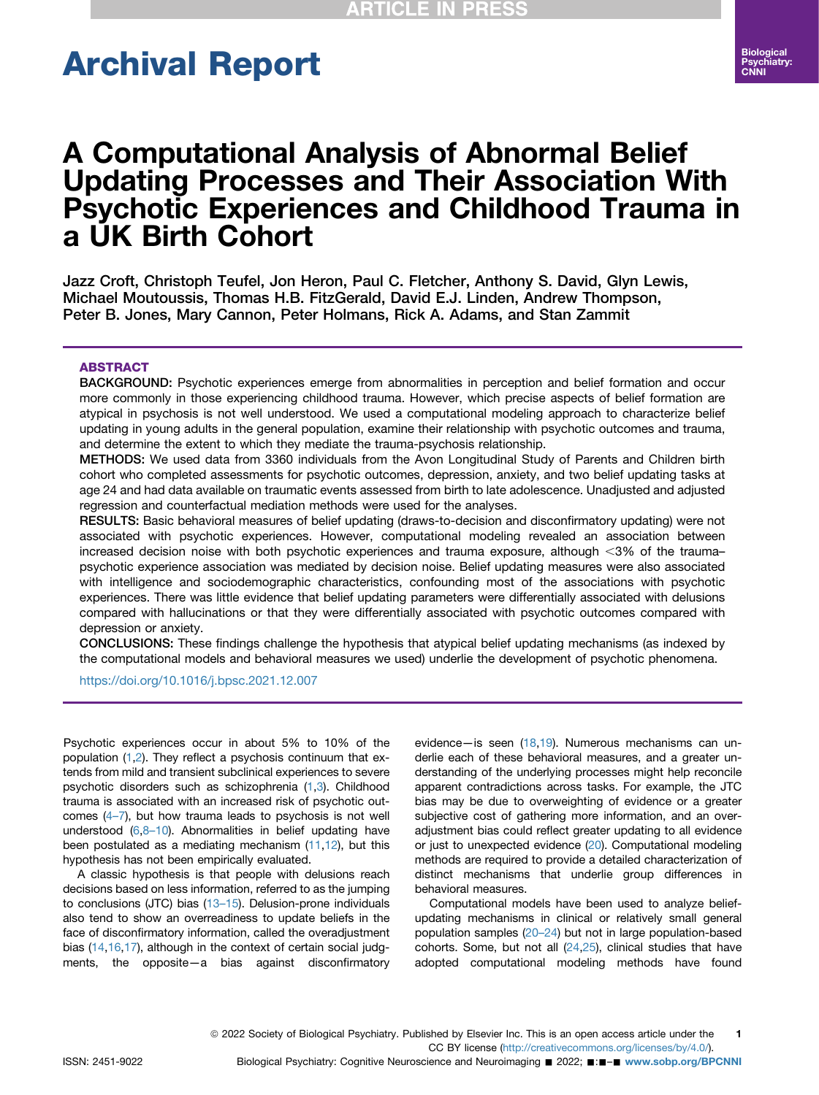# Archival Report

## A Computational Analysis of Abnormal Belief Updating Processes and Their Association With Psychotic Experiences and Childhood Trauma in a UK Birth Cohort

Jazz Croft, Christoph Teufel, Jon Heron, Paul C. Fletcher, Anthony S. David, Glyn Lewis, Michael Moutoussis, Thomas H.B. FitzGerald, David E.J. Linden, Andrew Thompson, Peter B. Jones, Mary Cannon, Peter Holmans, Rick A. Adams, and Stan Zammit

#### ABSTRACT

BACKGROUND: Psychotic experiences emerge from abnormalities in perception and belief formation and occur more commonly in those experiencing childhood trauma. However, which precise aspects of belief formation are atypical in psychosis is not well understood. We used a computational modeling approach to characterize belief updating in young adults in the general population, examine their relationship with psychotic outcomes and trauma, and determine the extent to which they mediate the trauma-psychosis relationship.

METHODS: We used data from 3360 individuals from the Avon Longitudinal Study of Parents and Children birth cohort who completed assessments for psychotic outcomes, depression, anxiety, and two belief updating tasks at age 24 and had data available on traumatic events assessed from birth to late adolescence. Unadjusted and adjusted regression and counterfactual mediation methods were used for the analyses.

RESULTS: Basic behavioral measures of belief updating (draws-to-decision and disconfirmatory updating) were not associated with psychotic experiences. However, computational modeling revealed an association between increased decision noise with both psychotic experiences and trauma exposure, although  $\langle 3\%$  of the trauma– psychotic experience association was mediated by decision noise. Belief updating measures were also associated with intelligence and sociodemographic characteristics, confounding most of the associations with psychotic experiences. There was little evidence that belief updating parameters were differentially associated with delusions compared with hallucinations or that they were differentially associated with psychotic outcomes compared with depression or anxiety.

CONCLUSIONS: These findings challenge the hypothesis that atypical belief updating mechanisms (as indexed by the computational models and behavioral measures we used) underlie the development of psychotic phenomena.

<https://doi.org/10.1016/j.bpsc.2021.12.007>

Psychotic experiences occur in about 5% to 10% of the population ([1,](#page-8-0)[2\)](#page-8-1). They reflect a psychosis continuum that extends from mild and transient subclinical experiences to severe psychotic disorders such as schizophrenia [\(1](#page-8-0)[,3\)](#page-8-2). Childhood trauma is associated with an increased risk of psychotic outcomes ([4](#page-8-3)–7), but how trauma leads to psychosis is not well understood [\(6,](#page-8-4)8–[10](#page-8-5)). Abnormalities in belief updating have been postulated as a mediating mechanism [\(11,](#page-8-6)[12](#page-8-7)), but this hypothesis has not been empirically evaluated.

A classic hypothesis is that people with delusions reach decisions based on less information, referred to as the jumping to conclusions (JTC) bias (13–[15](#page-8-8)). Delusion-prone individuals also tend to show an overreadiness to update beliefs in the face of disconfirmatory information, called the overadjustment bias [\(14,](#page-8-9)[16](#page-8-10),[17](#page-8-11)), although in the context of certain social judgments, the opposite—a bias against disconfirmatory

evidence—is seen ([18](#page-8-12)[,19\)](#page-8-13). Numerous mechanisms can underlie each of these behavioral measures, and a greater understanding of the underlying processes might help reconcile apparent contradictions across tasks. For example, the JTC bias may be due to overweighting of evidence or a greater subjective cost of gathering more information, and an overadjustment bias could reflect greater updating to all evidence or just to unexpected evidence [\(20\)](#page-8-14). Computational modeling methods are required to provide a detailed characterization of distinct mechanisms that underlie group differences in behavioral measures.

Computational models have been used to analyze beliefupdating mechanisms in clinical or relatively small general population samples [\(20](#page-8-14)–24) but not in large population-based cohorts. Some, but not all  $(24,25)$  $(24,25)$  $(24,25)$ , clinical studies that have adopted computational modeling methods have found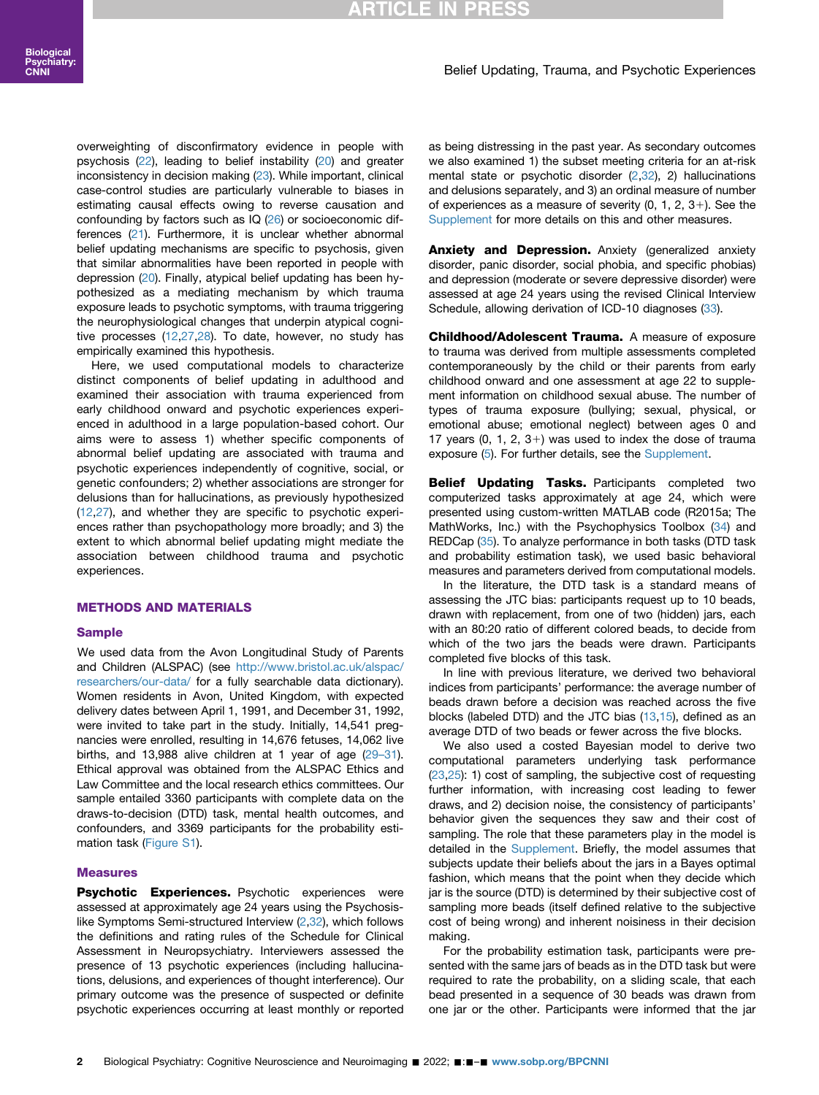## **RTICLE IN PR**

#### Belief Updating, Trauma, and Psychotic Experiences

overweighting of disconfirmatory evidence in people with psychosis [\(22\)](#page-8-17), leading to belief instability [\(20\)](#page-8-14) and greater inconsistency in decision making [\(23](#page-8-18)). While important, clinical case-control studies are particularly vulnerable to biases in estimating causal effects owing to reverse causation and confounding by factors such as IQ [\(26\)](#page-8-19) or socioeconomic differences ([21](#page-8-20)). Furthermore, it is unclear whether abnormal belief updating mechanisms are specific to psychosis, given that similar abnormalities have been reported in people with depression [\(20\)](#page-8-14). Finally, atypical belief updating has been hypothesized as a mediating mechanism by which trauma exposure leads to psychotic symptoms, with trauma triggering the neurophysiological changes that underpin atypical cognitive processes ([12](#page-8-7),[27](#page-8-21)[,28\)](#page-8-22). To date, however, no study has empirically examined this hypothesis.

Here, we used computational models to characterize distinct components of belief updating in adulthood and examined their association with trauma experienced from early childhood onward and psychotic experiences experienced in adulthood in a large population-based cohort. Our aims were to assess 1) whether specific components of abnormal belief updating are associated with trauma and psychotic experiences independently of cognitive, social, or genetic confounders; 2) whether associations are stronger for delusions than for hallucinations, as previously hypothesized ([12](#page-8-7),[27](#page-8-21)), and whether they are specific to psychotic experiences rather than psychopathology more broadly; and 3) the extent to which abnormal belief updating might mediate the association between childhood trauma and psychotic experiences.

#### METHODS AND MATERIALS

#### Sample

We used data from the Avon Longitudinal Study of Parents and Children (ALSPAC) (see [http://www.bristol.ac.uk/alspac/](http://www.bristol.ac.uk/alspac/researchers/our-data/) [researchers/our-data/](http://www.bristol.ac.uk/alspac/researchers/our-data/) for a fully searchable data dictionary). Women residents in Avon, United Kingdom, with expected delivery dates between April 1, 1991, and December 31, 1992, were invited to take part in the study. Initially, 14,541 pregnancies were enrolled, resulting in 14,676 fetuses, 14,062 live births, and 13,988 alive children at 1 year of age [\(29](#page-8-23)–31). Ethical approval was obtained from the ALSPAC Ethics and Law Committee and the local research ethics committees. Our sample entailed 3360 participants with complete data on the draws-to-decision (DTD) task, mental health outcomes, and confounders, and 3369 participants for the probability estimation task ([Figure S1](#page-9-0)).

#### **Measures**

Psychotic Experiences. Psychotic experiences were assessed at approximately age 24 years using the Psychosislike Symptoms Semi-structured Interview  $(2,32)$  $(2,32)$ , which follows the definitions and rating rules of the Schedule for Clinical Assessment in Neuropsychiatry. Interviewers assessed the presence of 13 psychotic experiences (including hallucinations, delusions, and experiences of thought interference). Our primary outcome was the presence of suspected or definite psychotic experiences occurring at least monthly or reported

as being distressing in the past year. As secondary outcomes we also examined 1) the subset meeting criteria for an at-risk mental state or psychotic disorder [\(2](#page-8-1)[,32\)](#page-8-24), 2) hallucinations and delusions separately, and 3) an ordinal measure of number of experiences as a measure of severity  $(0, 1, 2, 3+)$ . See the [Supplement](#page-9-0) for more details on this and other measures.

**Anxiety and Depression.** Anxiety (generalized anxiety disorder, panic disorder, social phobia, and specific phobias) and depression (moderate or severe depressive disorder) were assessed at age 24 years using the revised Clinical Interview Schedule, allowing derivation of ICD-10 diagnoses ([33](#page-8-25)).

Childhood/Adolescent Trauma. A measure of exposure to trauma was derived from multiple assessments completed contemporaneously by the child or their parents from early childhood onward and one assessment at age 22 to supplement information on childhood sexual abuse. The number of types of trauma exposure (bullying; sexual, physical, or emotional abuse; emotional neglect) between ages 0 and 17 years  $(0, 1, 2, 3+)$  was used to index the dose of trauma exposure [\(5\)](#page-8-26). For further details, see the [Supplement.](#page-9-0)

Belief Updating Tasks. Participants completed two computerized tasks approximately at age 24, which were presented using custom-written MATLAB code (R2015a; The MathWorks, Inc.) with the Psychophysics Toolbox [\(34](#page-8-27)) and REDCap [\(35\)](#page-8-28). To analyze performance in both tasks (DTD task and probability estimation task), we used basic behavioral measures and parameters derived from computational models.

In the literature, the DTD task is a standard means of assessing the JTC bias: participants request up to 10 beads, drawn with replacement, from one of two (hidden) jars, each with an 80:20 ratio of different colored beads, to decide from which of the two jars the beads were drawn. Participants completed five blocks of this task.

In line with previous literature, we derived two behavioral indices from participants' performance: the average number of beads drawn before a decision was reached across the five blocks (labeled DTD) and the JTC bias [\(13,](#page-8-8)[15\)](#page-8-29), defined as an average DTD of two beads or fewer across the five blocks.

We also used a costed Bayesian model to derive two computational parameters underlying task performance [\(23,](#page-8-18)[25](#page-8-16)): 1) cost of sampling, the subjective cost of requesting further information, with increasing cost leading to fewer draws, and 2) decision noise, the consistency of participants' behavior given the sequences they saw and their cost of sampling. The role that these parameters play in the model is detailed in the [Supplement.](#page-9-0) Briefly, the model assumes that subjects update their beliefs about the jars in a Bayes optimal fashion, which means that the point when they decide which jar is the source (DTD) is determined by their subjective cost of sampling more beads (itself defined relative to the subjective cost of being wrong) and inherent noisiness in their decision making.

For the probability estimation task, participants were presented with the same jars of beads as in the DTD task but were required to rate the probability, on a sliding scale, that each bead presented in a sequence of 30 beads was drawn from one jar or the other. Participants were informed that the jar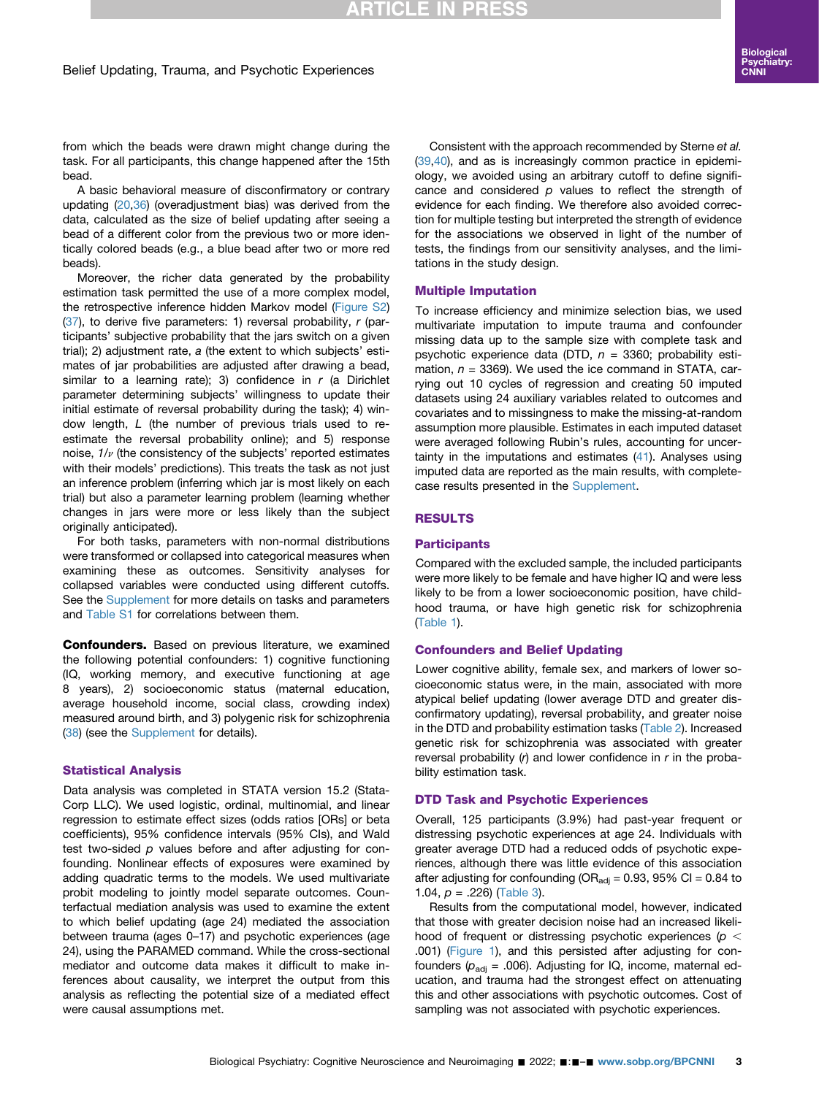## **RTICLE IN PRESS**

from which the beads were drawn might change during the task. For all participants, this change happened after the 15th bead.

A basic behavioral measure of disconfirmatory or contrary updating ([20](#page-8-14)[,36\)](#page-8-30) (overadjustment bias) was derived from the data, calculated as the size of belief updating after seeing a bead of a different color from the previous two or more identically colored beads (e.g., a blue bead after two or more red beads).

Moreover, the richer data generated by the probability estimation task permitted the use of a more complex model, the retrospective inference hidden Markov model [\(Figure S2](#page-9-0))  $(37)$  $(37)$  $(37)$ , to derive five parameters: 1) reversal probability,  $r$  (participants' subjective probability that the jars switch on a given trial); 2) adjustment rate, a (the extent to which subjects' estimates of jar probabilities are adjusted after drawing a bead, similar to a learning rate); 3) confidence in  $r$  (a Dirichlet parameter determining subjects' willingness to update their initial estimate of reversal probability during the task); 4) window length, L (the number of previous trials used to reestimate the reversal probability online); and 5) response noise,  $1/v$  (the consistency of the subjects' reported estimates with their models' predictions). This treats the task as not just an inference problem (inferring which jar is most likely on each trial) but also a parameter learning problem (learning whether changes in jars were more or less likely than the subject originally anticipated).

For both tasks, parameters with non-normal distributions were transformed or collapsed into categorical measures when examining these as outcomes. Sensitivity analyses for collapsed variables were conducted using different cutoffs. See the [Supplement](#page-9-0) for more details on tasks and parameters and [Table S1](#page-9-0) for correlations between them.

**Confounders.** Based on previous literature, we examined the following potential confounders: 1) cognitive functioning (IQ, working memory, and executive functioning at age 8 years), 2) socioeconomic status (maternal education, average household income, social class, crowding index) measured around birth, and 3) polygenic risk for schizophrenia ([38](#page-8-32)) (see the [Supplement](#page-9-0) for details).

#### Statistical Analysis

Data analysis was completed in STATA version 15.2 (Stata-Corp LLC). We used logistic, ordinal, multinomial, and linear regression to estimate effect sizes (odds ratios [ORs] or beta coefficients), 95% confidence intervals (95% CIs), and Wald test two-sided  $p$  values before and after adjusting for confounding. Nonlinear effects of exposures were examined by adding quadratic terms to the models. We used multivariate probit modeling to jointly model separate outcomes. Counterfactual mediation analysis was used to examine the extent to which belief updating (age 24) mediated the association between trauma (ages 0–17) and psychotic experiences (age 24), using the PARAMED command. While the cross-sectional mediator and outcome data makes it difficult to make inferences about causality, we interpret the output from this analysis as reflecting the potential size of a mediated effect were causal assumptions met.

Consistent with the approach recommended by Sterne et al. [\(39,](#page-9-1)[40\)](#page-9-2), and as is increasingly common practice in epidemiology, we avoided using an arbitrary cutoff to define significance and considered  $p$  values to reflect the strength of evidence for each finding. We therefore also avoided correction for multiple testing but interpreted the strength of evidence for the associations we observed in light of the number of tests, the findings from our sensitivity analyses, and the limitations in the study design.

#### Multiple Imputation

To increase efficiency and minimize selection bias, we used multivariate imputation to impute trauma and confounder missing data up to the sample size with complete task and psychotic experience data (DTD,  $n = 3360$ ; probability estimation,  $n = 3369$ ). We used the ice command in STATA, carrying out 10 cycles of regression and creating 50 imputed datasets using 24 auxiliary variables related to outcomes and covariates and to missingness to make the missing-at-random assumption more plausible. Estimates in each imputed dataset were averaged following Rubin's rules, accounting for uncertainty in the imputations and estimates ([41\)](#page-9-3). Analyses using imputed data are reported as the main results, with completecase results presented in the [Supplement](#page-9-0).

#### RESULTS

#### **Participants**

Compared with the excluded sample, the included participants were more likely to be female and have higher IQ and were less likely to be from a lower socioeconomic position, have childhood trauma, or have high genetic risk for schizophrenia [\(Table 1\)](#page-3-0).

#### Confounders and Belief Updating

Lower cognitive ability, female sex, and markers of lower socioeconomic status were, in the main, associated with more atypical belief updating (lower average DTD and greater disconfirmatory updating), reversal probability, and greater noise in the DTD and probability estimation tasks ([Table 2\)](#page-3-1). Increased genetic risk for schizophrenia was associated with greater reversal probability  $(r)$  and lower confidence in  $r$  in the probability estimation task.

#### DTD Task and Psychotic Experiences

Overall, 125 participants (3.9%) had past-year frequent or distressing psychotic experiences at age 24. Individuals with greater average DTD had a reduced odds of psychotic experiences, although there was little evidence of this association after adjusting for confounding (OR $_{\text{adi}}$  = 0.93, 95% CI = 0.84 to 1.04,  $p = .226$ ) ([Table 3\)](#page-4-0).

Results from the computational model, however, indicated that those with greater decision noise had an increased likelihood of frequent or distressing psychotic experiences ( $p <$ .001) [\(Figure 1\)](#page-4-1), and this persisted after adjusting for confounders ( $p_{\text{adj}}$  = .006). Adjusting for IQ, income, maternal education, and trauma had the strongest effect on attenuating this and other associations with psychotic outcomes. Cost of sampling was not associated with psychotic experiences.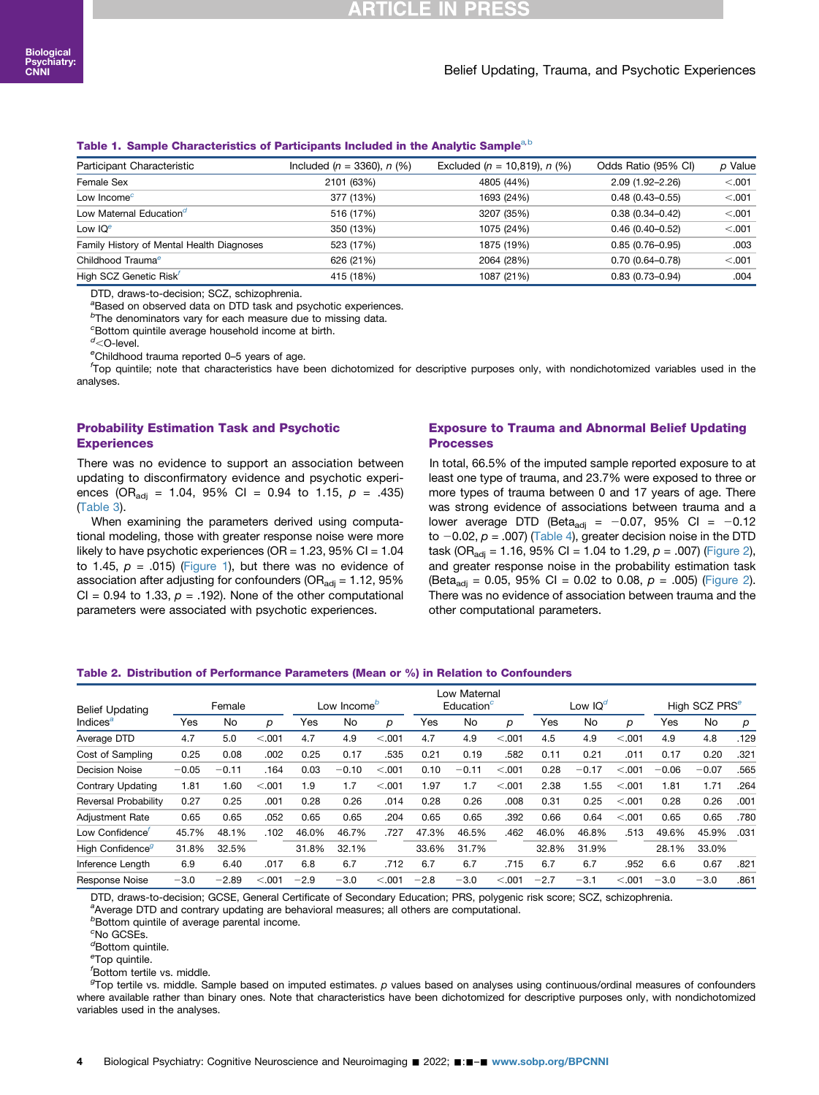## **TICLE** :

#### Belief Updating, Trauma, and Psychotic Experiences

#### <span id="page-3-0"></span>T[a](#page-3-2)[b](#page-3-3)le 1. Sample Characteristics of Participants Included in the Analytic Sample<sup>a,b</sup>

| Participant Characteristic                | Included $(n = 3360)$ , n $(%)$ | Excluded $(n = 10.819)$ , $n$ (%) | Odds Ratio (95% CI) | p Value |
|-------------------------------------------|---------------------------------|-----------------------------------|---------------------|---------|
| Female Sex                                | 2101 (63%)                      | 4805 (44%)                        | $2.09(1.92 - 2.26)$ | < .001  |
| Low Income $\epsilon$                     | 377 (13%)                       | 1693 (24%)                        | $0.48(0.43 - 0.55)$ | < .001  |
| Low Maternal Education <sup>d</sup>       | 516 (17%)                       | 3207 (35%)                        | $0.38(0.34 - 0.42)$ | < .001  |
| Low $IQe$                                 | 350 (13%)                       | 1075 (24%)                        | $0.46(0.40 - 0.52)$ | < .001  |
| Family History of Mental Health Diagnoses | 523 (17%)                       | 1875 (19%)                        | $0.85(0.76 - 0.95)$ | .003    |
| Childhood Trauma <sup>e</sup>             | 626 (21%)                       | 2064 (28%)                        | $0.70(0.64 - 0.78)$ | < 0.001 |
| High SCZ Genetic Risk                     | 415 (18%)                       | 1087 (21%)                        | $0.83(0.73 - 0.94)$ | .004    |

DTD, draws-to-decision; SCZ, schizophrenia.

<span id="page-3-2"></span><sup>a</sup>Based on observed data on DTD task and psychotic experiences.

<span id="page-3-3"></span><sup>b</sup>The denominators vary for each measure due to missing data.

<span id="page-3-4"></span>c Bottom quintile average household income at birth.

<span id="page-3-5"></span><sup>d</sup><O-level.<br><sup>e</sup>Childhoog

<span id="page-3-6"></span>eChildhood trauma reported 0-5 years of age.

<span id="page-3-7"></span>Top quintile; note that characteristics have been dichotomized for descriptive purposes only, with nondichotomized variables used in the analyses.

#### Probability Estimation Task and Psychotic **Experiences**

There was no evidence to support an association between updating to disconfirmatory evidence and psychotic experiences (OR<sub>adj</sub> = 1.04, 95% CI = 0.94 to 1.15,  $p = .435$ ) ([Table 3\)](#page-4-0).

When examining the parameters derived using computational modeling, those with greater response noise were more likely to have psychotic experiences (OR =  $1.23$ , 95% CI =  $1.04$ to 1.45,  $p = .015$ ) [\(Figure 1](#page-4-1)), but there was no evidence of association after adjusting for confounders ( $OR_{\text{adj}} = 1.12$ , 95% CI = 0.94 to 1.33,  $p = .192$ ). None of the other computational parameters were associated with psychotic experiences.

#### Exposure to Trauma and Abnormal Belief Updating Processes

In total, 66.5% of the imputed sample reported exposure to at least one type of trauma, and 23.7% were exposed to three or more types of trauma between 0 and 17 years of age. There was strong evidence of associations between trauma and a lower average DTD (Beta<sub>adj</sub> = -0.07, 95% CI = -0.12 to  $-0.02$ ,  $p = .007$ ) [\(Table 4\)](#page-5-0), greater decision noise in the DTD task (OR<sub>adj</sub> = 1.16, 95% CI = 1.04 to 1.29,  $p = .007$ ) ([Figure 2\)](#page-5-1), and greater response noise in the probability estimation task (Beta<sub>adi</sub> = 0.05, 95% CI = 0.02 to 0.08,  $p = .005$ ) ([Figure 2\)](#page-5-1). There was no evidence of association between trauma and the other computational parameters.

#### <span id="page-3-1"></span>Table 2. Distribution of Performance Parameters (Mean or %) in Relation to Confounders

| <b>Belief Updating</b>       | Female  |         | Low Income <sup>o</sup> |        | Low Maternal<br>Education <sup>c</sup> |         | Low $IQ^d$ |         | High SCZ PRS <sup>e</sup> |        |         |         |         |         |      |
|------------------------------|---------|---------|-------------------------|--------|----------------------------------------|---------|------------|---------|---------------------------|--------|---------|---------|---------|---------|------|
| Indices <sup>a</sup>         | Yes     | No      | D                       | Yes    | No                                     | p       | Yes        | No      | р                         | Yes    | No      | p       | Yes     | No      | р    |
| Average DTD                  | 4.7     | 5.0     | < 0.001                 | 4.7    | 4.9                                    | < 0.001 | 4.7        | 4.9     | < 0.001                   | 4.5    | 4.9     | < 0.001 | 4.9     | 4.8     | .129 |
| Cost of Sampling             | 0.25    | 0.08    | .002                    | 0.25   | 0.17                                   | .535    | 0.21       | 0.19    | .582                      | 0.11   | 0.21    | .011    | 0.17    | 0.20    | .321 |
| Decision Noise               | $-0.05$ | $-0.11$ | .164                    | 0.03   | $-0.10$                                | < 0.001 | 0.10       | $-0.11$ | < 0.001                   | 0.28   | $-0.17$ | < 0.001 | $-0.06$ | $-0.07$ | .565 |
| <b>Contrary Updating</b>     | 1.81    | 1.60    | < 0.001                 | 1.9    | 1.7                                    | < 0.001 | 1.97       | 1.7     | < 0.001                   | 2.38   | 1.55    | < 0.001 | 1.81    | 1.71    | .264 |
| Reversal Probability         | 0.27    | 0.25    | .001                    | 0.28   | 0.26                                   | .014    | 0.28       | 0.26    | .008                      | 0.31   | 0.25    | < 0.001 | 0.28    | 0.26    | .001 |
| <b>Adjustment Rate</b>       | 0.65    | 0.65    | .052                    | 0.65   | 0.65                                   | .204    | 0.65       | 0.65    | .392                      | 0.66   | 0.64    | < .001  | 0.65    | 0.65    | .780 |
| Low Confidence               | 45.7%   | 48.1%   | .102                    | 46.0%  | 46.7%                                  | .727    | 47.3%      | 46.5%   | .462                      | 46.0%  | 46.8%   | .513    | 49.6%   | 45.9%   | .031 |
| High Confidence <sup>g</sup> | 31.8%   | 32.5%   |                         | 31.8%  | 32.1%                                  |         | 33.6%      | 31.7%   |                           | 32.8%  | 31.9%   |         | 28.1%   | 33.0%   |      |
| Inference Length             | 6.9     | 6.40    | .017                    | 6.8    | 6.7                                    | .712    | 6.7        | 6.7     | .715                      | 6.7    | 6.7     | .952    | 6.6     | 0.67    | .821 |
| Response Noise               | $-3.0$  | $-2.89$ | < 0.001                 | $-2.9$ | $-3.0$                                 | < 0.001 | $-2.8$     | $-3.0$  | < 0.001                   | $-2.7$ | $-3.1$  | < 0.001 | $-3.0$  | $-3.0$  | .861 |

<span id="page-3-8"></span>DTD, draws-to-decision; GCSE, General Certificate of Secondary Education; PRS, polygenic risk score; SCZ, schizophrenia. <sup>a</sup>

<span id="page-3-9"></span>a Average DTD and contrary updating are behavioral measures; all others are computational.

b Bottom quintile of average parental income.

<span id="page-3-10"></span>c No GCSEs.

<span id="page-3-11"></span><sup>d</sup>Bottom quintile.

<span id="page-3-12"></span>e Top quintile.

<span id="page-3-13"></span>f Bottom tertile vs. middle.

<span id="page-3-14"></span><sup>g</sup>Top tertile vs. middle. Sample based on imputed estimates. p values based on analyses using continuous/ordinal measures of confounders where available rather than binary ones. Note that characteristics have been dichotomized for descriptive purposes only, with nondichotomized variables used in the analyses.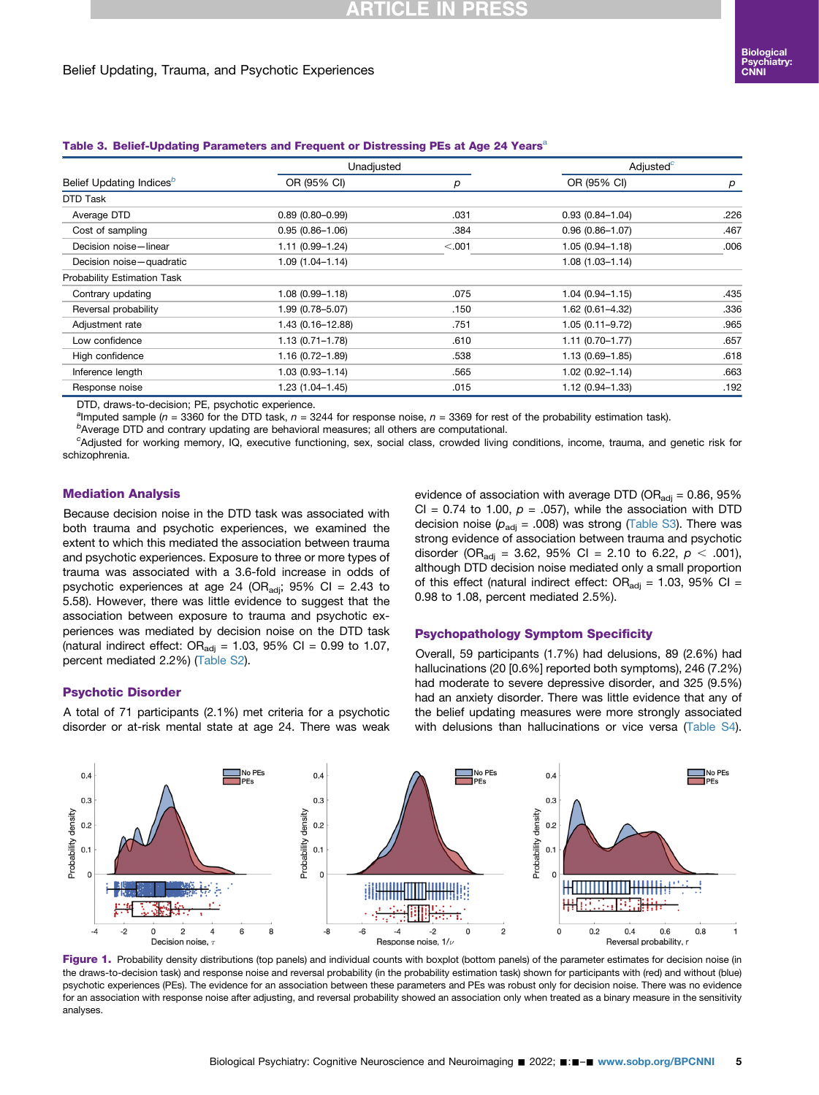## **CLE**

#### Belief Updating, Trauma, and Psychotic Experiences

#### <span id="page-4-0"></span>T[a](#page-4-2)ble 3. Belief-Updating Parameters and Frequent or Distressing PEs at Age 24 Years<sup>a</sup>

|                                      | Unadjusted          |        | Adjusted <sup>c</sup> |      |  |
|--------------------------------------|---------------------|--------|-----------------------|------|--|
| Belief Updating Indices <sup>b</sup> | OR (95% CI)         | р      | OR (95% CI)           | р    |  |
| DTD Task                             |                     |        |                       |      |  |
| Average DTD                          | $0.89(0.80 - 0.99)$ | .031   | $0.93(0.84 - 1.04)$   | .226 |  |
| Cost of sampling                     | $0.95(0.86 - 1.06)$ | .384   | $0.96(0.86 - 1.07)$   | .467 |  |
| Decision noise-linear                | $1.11(0.99 - 1.24)$ | < .001 | $1.05(0.94 - 1.18)$   | .006 |  |
| Decision noise-quadratic             | $1.09(1.04 - 1.14)$ |        | $1.08(1.03 - 1.14)$   |      |  |
| Probability Estimation Task          |                     |        |                       |      |  |
| Contrary updating                    | $1.08(0.99 - 1.18)$ | .075   | $1.04(0.94 - 1.15)$   | .435 |  |
| Reversal probability                 | 1.99 (0.78-5.07)    | .150   | $1.62(0.61 - 4.32)$   | .336 |  |
| Adjustment rate                      | 1.43 (0.16-12.88)   | .751   | $1.05(0.11 - 9.72)$   | .965 |  |
| Low confidence                       | $1.13(0.71 - 1.78)$ | .610   | $1.11(0.70 - 1.77)$   | .657 |  |
| High confidence                      | $1.16(0.72 - 1.89)$ | .538   | $1.13(0.69 - 1.85)$   | .618 |  |
| Inference length                     | $1.03(0.93 - 1.14)$ | .565   | $1.02(0.92 - 1.14)$   | .663 |  |
| Response noise                       | $1.23(1.04 - 1.45)$ | .015   | $1.12(0.94 - 1.33)$   | .192 |  |

DTD, draws-to-decision; PE, psychotic experience.

<span id="page-4-2"></span><sup>a</sup>lmputed sample (n = 3360 for the DTD task, n = 3244 for response noise, n = 3369 for rest of the probability estimation task).

<span id="page-4-3"></span> $b$ Average DTD and contrary updating are behavioral measures; all others are computational.

<span id="page-4-4"></span>c Adjusted for working memory, IQ, executive functioning, sex, social class, crowded living conditions, income, trauma, and genetic risk for schizophrenia.

#### Mediation Analysis

Because decision noise in the DTD task was associated with both trauma and psychotic experiences, we examined the extent to which this mediated the association between trauma and psychotic experiences. Exposure to three or more types of trauma was associated with a 3.6-fold increase in odds of psychotic experiences at age 24 (OR<sub>adj</sub>; 95% CI = 2.43 to 5.58). However, there was little evidence to suggest that the association between exposure to trauma and psychotic experiences was mediated by decision noise on the DTD task (natural indirect effect:  $OR_{\text{adj}} = 1.03$ , 95% CI = 0.99 to 1.07, percent mediated 2.2%) [\(Table S2\)](#page-9-0).

#### Psychotic Disorder

A total of 71 participants (2.1%) met criteria for a psychotic disorder or at-risk mental state at age 24. There was weak evidence of association with average DTD (OR $_{\text{adj}}$  = 0.86, 95% CI = 0.74 to 1.00,  $p = .057$ ), while the association with DTD decision noise ( $p_{\text{adj}}$  = .008) was strong [\(Table S3](#page-9-0)). There was strong evidence of association between trauma and psychotic disorder (OR<sub>adj</sub> = 3.62, 95% CI = 2.10 to 6.22,  $p < .001$ ), although DTD decision noise mediated only a small proportion of this effect (natural indirect effect:  $OR_{\text{adj}} = 1.03$ , 95% CI = 0.98 to 1.08, percent mediated 2.5%).

#### Psychopathology Symptom Specificity

Overall, 59 participants (1.7%) had delusions, 89 (2.6%) had hallucinations (20 [0.6%] reported both symptoms), 246 (7.2%) had moderate to severe depressive disorder, and 325 (9.5%) had an anxiety disorder. There was little evidence that any of the belief updating measures were more strongly associated with delusions than hallucinations or vice versa ([Table S4\)](#page-9-0).

<span id="page-4-1"></span>

Figure 1. Probability density distributions (top panels) and individual counts with boxplot (bottom panels) of the parameter estimates for decision noise (in the draws-to-decision task) and response noise and reversal probability (in the probability estimation task) shown for participants with (red) and without (blue) psychotic experiences (PEs). The evidence for an association between these parameters and PEs was robust only for decision noise. There was no evidence for an association with response noise after adjusting, and reversal probability showed an association only when treated as a binary measure in the sensitivity analyses.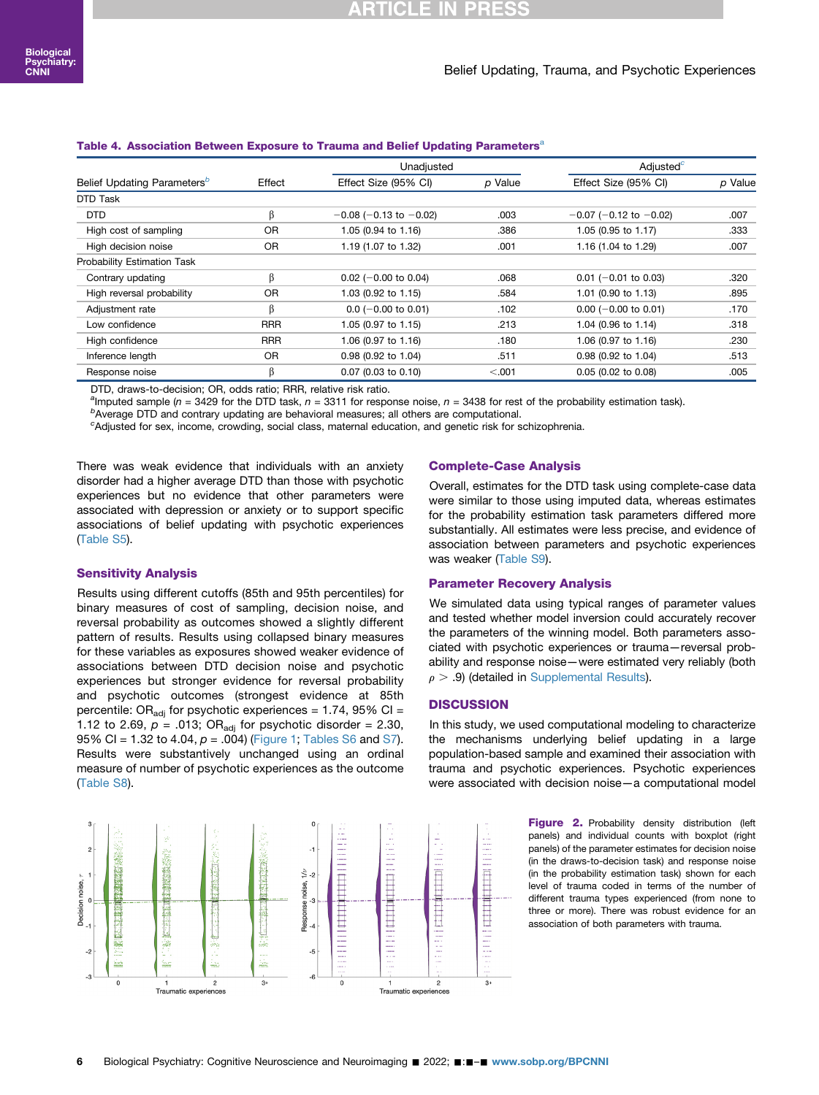#### Belief Updating, Trauma, and Psychotic Experiences

#### <span id="page-5-0"></span>T[a](#page-5-2)ble 4. Association Between Exposure to Trauma and Belief Updating Parameters<sup>a</sup>

|                                         |            | Unadjusted                     |         | Adjusted <sup>c</sup>       |         |  |  |
|-----------------------------------------|------------|--------------------------------|---------|-----------------------------|---------|--|--|
| Belief Updating Parameters <sup>b</sup> | Effect     | Effect Size (95% CI)           | p Value | Effect Size (95% CI)        | p Value |  |  |
| DTD Task                                |            |                                |         |                             |         |  |  |
| <b>DTD</b>                              | ß          | $-0.08$ ( $-0.13$ to $-0.02$ ) | .003    | $-0.07$ (-0.12 to $-0.02$ ) | .007    |  |  |
| High cost of sampling                   | <b>OR</b>  | 1.05 (0.94 to 1.16)            | .386    | 1.05 (0.95 to 1.17)         | .333    |  |  |
| High decision noise                     | 0R         | 1.19 (1.07 to 1.32)            | .001    | 1.16 (1.04 to 1.29)         | .007    |  |  |
| Probability Estimation Task             |            |                                |         |                             |         |  |  |
| Contrary updating                       | ß          | $0.02$ (-0.00 to 0.04)         | .068    | $0.01$ (-0.01 to 0.03)      | .320    |  |  |
| High reversal probability               | <b>OR</b>  | 1.03 (0.92 to 1.15)            | .584    | 1.01 (0.90 to 1.13)         | .895    |  |  |
| Adjustment rate                         | ß          | $0.0$ (-0.00 to 0.01)          | .102    | $0.00$ (-0.00 to 0.01)      | .170    |  |  |
| Low confidence                          | <b>RRR</b> | 1.05 (0.97 to 1.15)            | .213    | 1.04 (0.96 to 1.14)         | .318    |  |  |
| High confidence                         | <b>RRR</b> | 1.06 (0.97 to 1.16)            | .180    | 1.06 (0.97 to 1.16)         | .230    |  |  |
| Inference length                        | <b>OR</b>  | 0.98 (0.92 to 1.04)            | .511    | 0.98 (0.92 to 1.04)         | .513    |  |  |
| Response noise                          | ß          | 0.07 (0.03 to 0.10)            | < 0.001 | 0.05 (0.02 to 0.08)         | .005    |  |  |

<span id="page-5-2"></span>DTD, draws-to-decision; OR, odds ratio; RRR, relative risk ratio.

<sup>a</sup>lmputed sample (n = 3429 for the DTD task, n = 3311 for response noise, n = 3438 for rest of the probability estimation task).

<span id="page-5-3"></span> $<sup>b</sup>$ Average DTD and contrary updating are behavioral measures; all others are computational.</sup>

<span id="page-5-4"></span>c Adjusted for sex, income, crowding, social class, maternal education, and genetic risk for schizophrenia.

There was weak evidence that individuals with an anxiety disorder had a higher average DTD than those with psychotic experiences but no evidence that other parameters were associated with depression or anxiety or to support specific associations of belief updating with psychotic experiences ([Table S5](#page-9-0)).

#### Sensitivity Analysis

Results using different cutoffs (85th and 95th percentiles) for binary measures of cost of sampling, decision noise, and reversal probability as outcomes showed a slightly different pattern of results. Results using collapsed binary measures for these variables as exposures showed weaker evidence of associations between DTD decision noise and psychotic experiences but stronger evidence for reversal probability and psychotic outcomes (strongest evidence at 85th percentile: OR<sub>adi</sub> for psychotic experiences = 1.74, 95% CI = 1.12 to 2.69,  $p = .013$ ; OR<sub>adi</sub> for psychotic disorder = 2.30, 95% CI = 1.32 to 4.04,  $p = .004$ ) [\(Figure 1](#page-4-1); [Tables S6](#page-9-0) and [S7\)](#page-9-0). Results were substantively unchanged using an ordinal measure of number of psychotic experiences as the outcome ([Table S8](#page-9-0)).

<span id="page-5-1"></span>

#### Complete-Case Analysis

Overall, estimates for the DTD task using complete-case data were similar to those using imputed data, whereas estimates for the probability estimation task parameters differed more substantially. All estimates were less precise, and evidence of association between parameters and psychotic experiences was weaker [\(Table S9\)](#page-9-0).

#### Parameter Recovery Analysis

We simulated data using typical ranges of parameter values and tested whether model inversion could accurately recover the parameters of the winning model. Both parameters associated with psychotic experiences or trauma—reversal probability and response noise—were estimated very reliably (both  $\rho$  > .9) (detailed in [Supplemental Results](#page-9-0)).

#### **DISCUSSION**

In this study, we used computational modeling to characterize the mechanisms underlying belief updating in a large population-based sample and examined their association with trauma and psychotic experiences. Psychotic experiences were associated with decision noise—a computational model

> Figure 2. Probability density distribution (left panels) and individual counts with boxplot (right panels) of the parameter estimates for decision noise (in the draws-to-decision task) and response noise (in the probability estimation task) shown for each level of trauma coded in terms of the number of different trauma types experienced (from none to three or more). There was robust evidence for an association of both parameters with trauma.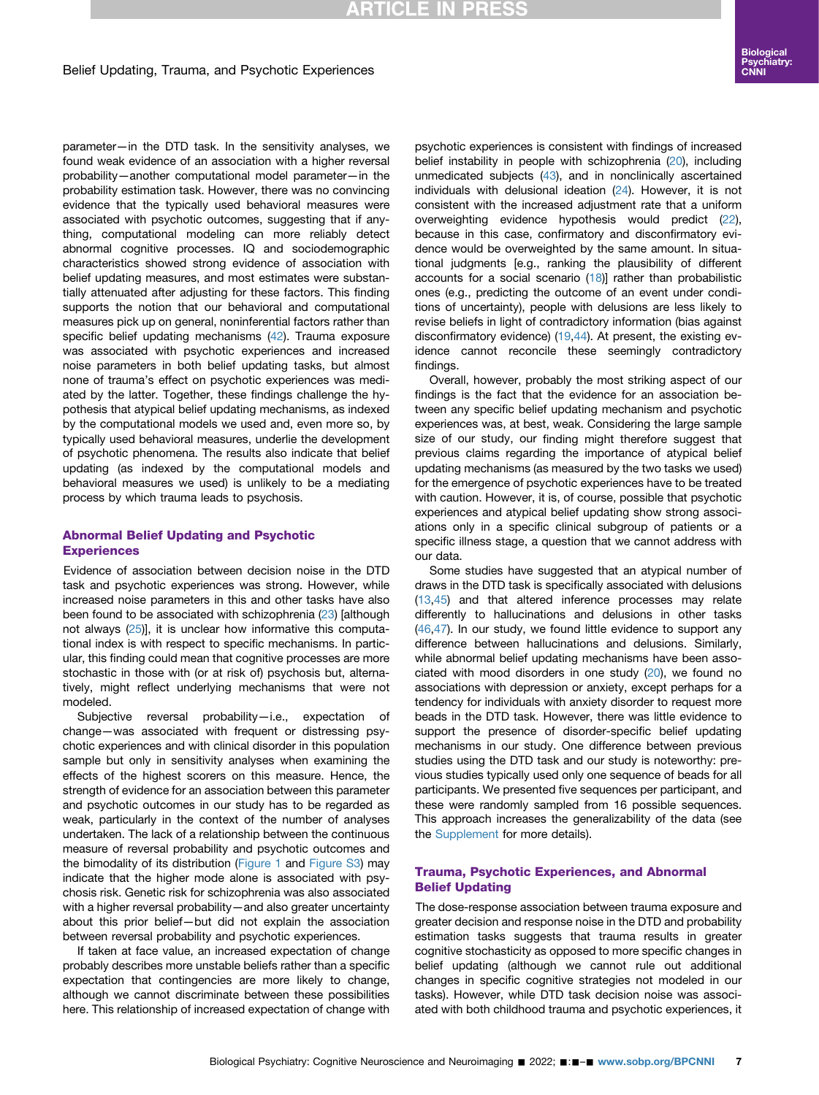## **RTICLE IN PRESS**

#### Belief Updating, Trauma, and Psychotic Experiences

parameter—in the DTD task. In the sensitivity analyses, we found weak evidence of an association with a higher reversal probability—another computational model parameter—in the probability estimation task. However, there was no convincing evidence that the typically used behavioral measures were associated with psychotic outcomes, suggesting that if anything, computational modeling can more reliably detect abnormal cognitive processes. IQ and sociodemographic characteristics showed strong evidence of association with belief updating measures, and most estimates were substantially attenuated after adjusting for these factors. This finding supports the notion that our behavioral and computational measures pick up on general, noninferential factors rather than specific belief updating mechanisms [\(42\)](#page-9-4). Trauma exposure was associated with psychotic experiences and increased noise parameters in both belief updating tasks, but almost none of trauma's effect on psychotic experiences was mediated by the latter. Together, these findings challenge the hypothesis that atypical belief updating mechanisms, as indexed by the computational models we used and, even more so, by typically used behavioral measures, underlie the development of psychotic phenomena. The results also indicate that belief updating (as indexed by the computational models and behavioral measures we used) is unlikely to be a mediating process by which trauma leads to psychosis.

#### Abnormal Belief Updating and Psychotic **Experiences**

Evidence of association between decision noise in the DTD task and psychotic experiences was strong. However, while increased noise parameters in this and other tasks have also been found to be associated with schizophrenia ([23](#page-8-18)) [although not always [\(25](#page-8-16))], it is unclear how informative this computational index is with respect to specific mechanisms. In particular, this finding could mean that cognitive processes are more stochastic in those with (or at risk of) psychosis but, alternatively, might reflect underlying mechanisms that were not modeled.

Subjective reversal probability—i.e., expectation of change—was associated with frequent or distressing psychotic experiences and with clinical disorder in this population sample but only in sensitivity analyses when examining the effects of the highest scorers on this measure. Hence, the strength of evidence for an association between this parameter and psychotic outcomes in our study has to be regarded as weak, particularly in the context of the number of analyses undertaken. The lack of a relationship between the continuous measure of reversal probability and psychotic outcomes and the bimodality of its distribution [\(Figure 1](#page-4-1) and [Figure S3\)](#page-9-0) may indicate that the higher mode alone is associated with psychosis risk. Genetic risk for schizophrenia was also associated with a higher reversal probability—and also greater uncertainty about this prior belief—but did not explain the association between reversal probability and psychotic experiences.

If taken at face value, an increased expectation of change probably describes more unstable beliefs rather than a specific expectation that contingencies are more likely to change, although we cannot discriminate between these possibilities here. This relationship of increased expectation of change with

psychotic experiences is consistent with findings of increased belief instability in people with schizophrenia [\(20\)](#page-8-14), including unmedicated subjects [\(43](#page-9-5)), and in nonclinically ascertained individuals with delusional ideation ([24](#page-8-15)). However, it is not consistent with the increased adjustment rate that a uniform overweighting evidence hypothesis would predict [\(22\)](#page-8-17), because in this case, confirmatory and disconfirmatory evidence would be overweighted by the same amount. In situational judgments [e.g., ranking the plausibility of different accounts for a social scenario  $(18)$  $(18)$  $(18)$ ] rather than probabilistic ones (e.g., predicting the outcome of an event under conditions of uncertainty), people with delusions are less likely to revise beliefs in light of contradictory information (bias against disconfirmatory evidence) [\(19,](#page-8-13)[44](#page-9-6)). At present, the existing evidence cannot reconcile these seemingly contradictory findings.

Overall, however, probably the most striking aspect of our findings is the fact that the evidence for an association between any specific belief updating mechanism and psychotic experiences was, at best, weak. Considering the large sample size of our study, our finding might therefore suggest that previous claims regarding the importance of atypical belief updating mechanisms (as measured by the two tasks we used) for the emergence of psychotic experiences have to be treated with caution. However, it is, of course, possible that psychotic experiences and atypical belief updating show strong associations only in a specific clinical subgroup of patients or a specific illness stage, a question that we cannot address with our data.

Some studies have suggested that an atypical number of draws in the DTD task is specifically associated with delusions [\(13,](#page-8-8)[45\)](#page-9-7) and that altered inference processes may relate differently to hallucinations and delusions in other tasks [\(46,](#page-9-8)[47\)](#page-9-9). In our study, we found little evidence to support any difference between hallucinations and delusions. Similarly, while abnormal belief updating mechanisms have been associated with mood disorders in one study ([20\)](#page-8-14), we found no associations with depression or anxiety, except perhaps for a tendency for individuals with anxiety disorder to request more beads in the DTD task. However, there was little evidence to support the presence of disorder-specific belief updating mechanisms in our study. One difference between previous studies using the DTD task and our study is noteworthy: previous studies typically used only one sequence of beads for all participants. We presented five sequences per participant, and these were randomly sampled from 16 possible sequences. This approach increases the generalizability of the data (see the [Supplement](#page-9-0) for more details).

#### Trauma, Psychotic Experiences, and Abnormal Belief Updating

The dose-response association between trauma exposure and greater decision and response noise in the DTD and probability estimation tasks suggests that trauma results in greater cognitive stochasticity as opposed to more specific changes in belief updating (although we cannot rule out additional changes in specific cognitive strategies not modeled in our tasks). However, while DTD task decision noise was associated with both childhood trauma and psychotic experiences, it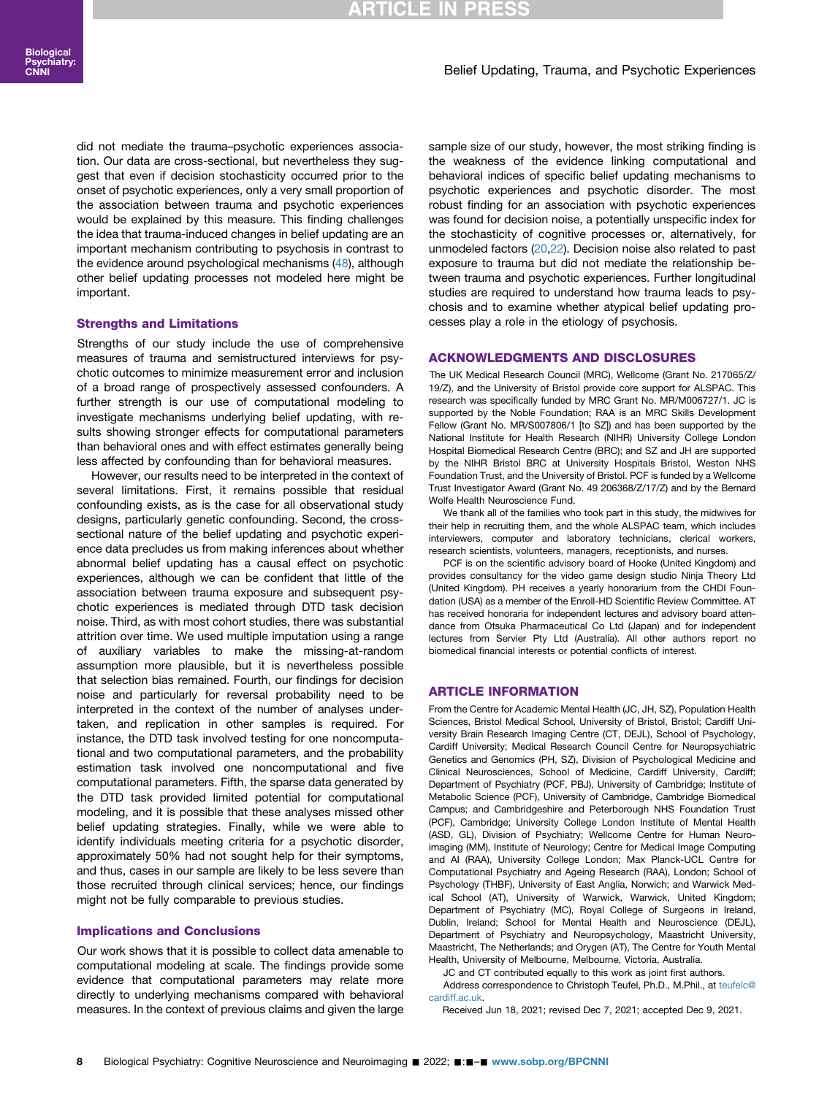#### Belief Updating, Trauma, and Psychotic Experiences

did not mediate the trauma–psychotic experiences association. Our data are cross-sectional, but nevertheless they suggest that even if decision stochasticity occurred prior to the onset of psychotic experiences, only a very small proportion of the association between trauma and psychotic experiences would be explained by this measure. This finding challenges the idea that trauma-induced changes in belief updating are an important mechanism contributing to psychosis in contrast to the evidence around psychological mechanisms ([48\)](#page-9-10), although other belief updating processes not modeled here might be important.

#### Strengths and Limitations

Strengths of our study include the use of comprehensive measures of trauma and semistructured interviews for psychotic outcomes to minimize measurement error and inclusion of a broad range of prospectively assessed confounders. A further strength is our use of computational modeling to investigate mechanisms underlying belief updating, with results showing stronger effects for computational parameters than behavioral ones and with effect estimates generally being less affected by confounding than for behavioral measures.

However, our results need to be interpreted in the context of several limitations. First, it remains possible that residual confounding exists, as is the case for all observational study designs, particularly genetic confounding. Second, the crosssectional nature of the belief updating and psychotic experience data precludes us from making inferences about whether abnormal belief updating has a causal effect on psychotic experiences, although we can be confident that little of the association between trauma exposure and subsequent psychotic experiences is mediated through DTD task decision noise. Third, as with most cohort studies, there was substantial attrition over time. We used multiple imputation using a range of auxiliary variables to make the missing-at-random assumption more plausible, but it is nevertheless possible that selection bias remained. Fourth, our findings for decision noise and particularly for reversal probability need to be interpreted in the context of the number of analyses undertaken, and replication in other samples is required. For instance, the DTD task involved testing for one noncomputational and two computational parameters, and the probability estimation task involved one noncomputational and five computational parameters. Fifth, the sparse data generated by the DTD task provided limited potential for computational modeling, and it is possible that these analyses missed other belief updating strategies. Finally, while we were able to identify individuals meeting criteria for a psychotic disorder, approximately 50% had not sought help for their symptoms, and thus, cases in our sample are likely to be less severe than those recruited through clinical services; hence, our findings might not be fully comparable to previous studies.

#### Implications and Conclusions

Our work shows that it is possible to collect data amenable to computational modeling at scale. The findings provide some evidence that computational parameters may relate more directly to underlying mechanisms compared with behavioral measures. In the context of previous claims and given the large

sample size of our study, however, the most striking finding is the weakness of the evidence linking computational and behavioral indices of specific belief updating mechanisms to psychotic experiences and psychotic disorder. The most robust finding for an association with psychotic experiences was found for decision noise, a potentially unspecific index for the stochasticity of cognitive processes or, alternatively, for unmodeled factors ([20](#page-8-14)[,22\)](#page-8-17). Decision noise also related to past exposure to trauma but did not mediate the relationship between trauma and psychotic experiences. Further longitudinal studies are required to understand how trauma leads to psychosis and to examine whether atypical belief updating processes play a role in the etiology of psychosis.

#### ACKNOWLEDGMENTS AND DISCLOSURES

The UK Medical Research Council (MRC), Wellcome (Grant No. 217065/Z/ 19/Z), and the University of Bristol provide core support for ALSPAC. This research was specifically funded by MRC Grant No. MR/M006727/1. JC is supported by the Noble Foundation; RAA is an MRC Skills Development Fellow (Grant No. MR/S007806/1 [to SZ]) and has been supported by the National Institute for Health Research (NIHR) University College London Hospital Biomedical Research Centre (BRC); and SZ and JH are supported by the NIHR Bristol BRC at University Hospitals Bristol, Weston NHS Foundation Trust, and the University of Bristol. PCF is funded by a Wellcome Trust Investigator Award (Grant No. 49 206368/Z/17/Z) and by the Bernard Wolfe Health Neuroscience Fund.

We thank all of the families who took part in this study, the midwives for their help in recruiting them, and the whole ALSPAC team, which includes interviewers, computer and laboratory technicians, clerical workers, research scientists, volunteers, managers, receptionists, and nurses.

PCF is on the scientific advisory board of Hooke (United Kingdom) and provides consultancy for the video game design studio Ninja Theory Ltd (United Kingdom). PH receives a yearly honorarium from the CHDI Foundation (USA) as a member of the Enroll-HD Scientific Review Committee. AT has received honoraria for independent lectures and advisory board attendance from Otsuka Pharmaceutical Co Ltd (Japan) and for independent lectures from Servier Pty Ltd (Australia). All other authors report no biomedical financial interests or potential conflicts of interest.

#### ARTICLE INFORMATION

From the Centre for Academic Mental Health (JC, JH, SZ), Population Health Sciences, Bristol Medical School, University of Bristol, Bristol; Cardiff University Brain Research Imaging Centre (CT, DEJL), School of Psychology, Cardiff University; Medical Research Council Centre for Neuropsychiatric Genetics and Genomics (PH, SZ), Division of Psychological Medicine and Clinical Neurosciences, School of Medicine, Cardiff University, Cardiff; Department of Psychiatry (PCF, PBJ), University of Cambridge; Institute of Metabolic Science (PCF), University of Cambridge, Cambridge Biomedical Campus; and Cambridgeshire and Peterborough NHS Foundation Trust (PCF), Cambridge; University College London Institute of Mental Health (ASD, GL), Division of Psychiatry; Wellcome Centre for Human Neuroimaging (MM), Institute of Neurology; Centre for Medical Image Computing and AI (RAA), University College London; Max Planck-UCL Centre for Computational Psychiatry and Ageing Research (RAA), London; School of Psychology (THBF), University of East Anglia, Norwich; and Warwick Medical School (AT), University of Warwick, Warwick, United Kingdom; Department of Psychiatry (MC), Royal College of Surgeons in Ireland, Dublin, Ireland; School for Mental Health and Neuroscience (DEJL), Department of Psychiatry and Neuropsychology, Maastricht University, Maastricht, The Netherlands; and Orygen (AT), The Centre for Youth Mental Health, University of Melbourne, Melbourne, Victoria, Australia.

JC and CT contributed equally to this work as joint first authors.

Address correspondence to Christoph Teufel, Ph.D., M.Phil., at [teufelc@](mailto:teufelc@cardiff.ac.uk) [cardiff.ac.uk](mailto:teufelc@cardiff.ac.uk).

Received Jun 18, 2021; revised Dec 7, 2021; accepted Dec 9, 2021.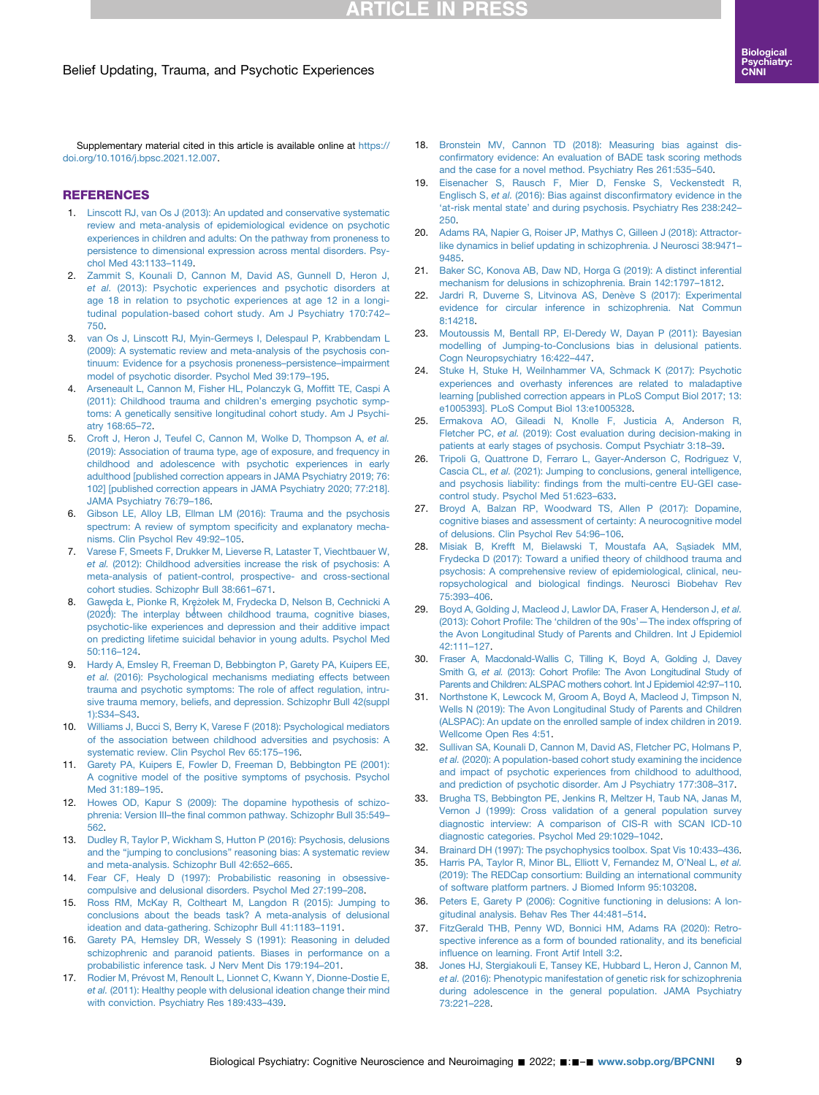## **ARTICLE IN PRESS**

Supplementary material cited in this article is available online at [https://](https://doi.org/10.1016/j.bpsc.2021.12.007) [doi.org/10.1016/j.bpsc.2021.12.007](https://doi.org/10.1016/j.bpsc.2021.12.007).

#### REFERENCES

- <span id="page-8-0"></span>1. [Linscott RJ, van Os J \(2013\): An updated and conservative systematic](http://refhub.elsevier.com/S2451-9022(21)00350-5/sref1) [review and meta-analysis of epidemiological evidence on psychotic](http://refhub.elsevier.com/S2451-9022(21)00350-5/sref1) [experiences in children and adults: On the pathway from proneness to](http://refhub.elsevier.com/S2451-9022(21)00350-5/sref1) [persistence to dimensional expression across mental disorders. Psy](http://refhub.elsevier.com/S2451-9022(21)00350-5/sref1)[chol Med 43:1133](http://refhub.elsevier.com/S2451-9022(21)00350-5/sref1)–1149.
- <span id="page-8-1"></span>2. [Zammit S, Kounali D, Cannon M, David AS, Gunnell D, Heron J,](http://refhub.elsevier.com/S2451-9022(21)00350-5/sref2) et al. [\(2013\): Psychotic experiences](http://refhub.elsevier.com/S2451-9022(21)00350-5/sref2) and psychotic disorders at [age 18 in relation to psychotic experiences at age 12 in a longi](http://refhub.elsevier.com/S2451-9022(21)00350-5/sref2)[tudinal population-based cohort study. Am J Psychiatry 170:742](http://refhub.elsevier.com/S2451-9022(21)00350-5/sref2)– [750](http://refhub.elsevier.com/S2451-9022(21)00350-5/sref2).
- <span id="page-8-2"></span>3. [van Os J, Linscott RJ, Myin-Germeys I, Delespaul P, Krabbendam L](http://refhub.elsevier.com/S2451-9022(21)00350-5/sref3) [\(2009\): A systematic review and meta-analysis of the psychosis con](http://refhub.elsevier.com/S2451-9022(21)00350-5/sref3)[tinuum: Evidence for a psychosis proneness](http://refhub.elsevier.com/S2451-9022(21)00350-5/sref3)–persistence–impairment [model of psychotic disorder. Psychol Med 39:179](http://refhub.elsevier.com/S2451-9022(21)00350-5/sref3)–195.
- <span id="page-8-3"></span>4. [Arseneault L, Cannon M, Fisher HL, Polanczyk G, Mof](http://refhub.elsevier.com/S2451-9022(21)00350-5/sref4)fitt TE, Caspi A [\(2011\): Childhood trauma and children](http://refhub.elsevier.com/S2451-9022(21)00350-5/sref4)'s emerging psychotic symp[toms: A genetically sensitive longitudinal cohort study. Am J Psychi](http://refhub.elsevier.com/S2451-9022(21)00350-5/sref4)[atry 168:65](http://refhub.elsevier.com/S2451-9022(21)00350-5/sref4)–72.
- <span id="page-8-26"></span>5. [Croft J, Heron J, Teufel C, Cannon M, Wolke D, Thompson A,](http://refhub.elsevier.com/S2451-9022(21)00350-5/sref5) et al. [\(2019\): Association of trauma type, age of exposure, and frequency in](http://refhub.elsevier.com/S2451-9022(21)00350-5/sref5) [childhood and adolescence with psychotic experiences in early](http://refhub.elsevier.com/S2451-9022(21)00350-5/sref5) [adulthood \[published correction appears in JAMA Psychiatry 2019; 76:](http://refhub.elsevier.com/S2451-9022(21)00350-5/sref5) [102\] \[published correction appears in JAMA Psychiatry 2020; 77:218\].](http://refhub.elsevier.com/S2451-9022(21)00350-5/sref5) [JAMA Psychiatry 76:79](http://refhub.elsevier.com/S2451-9022(21)00350-5/sref5)–186.
- <span id="page-8-4"></span>6. [Gibson LE, Alloy LB, Ellman LM \(2016\): Trauma and the psychosis](http://refhub.elsevier.com/S2451-9022(21)00350-5/sref6) [spectrum: A review of symptom speci](http://refhub.elsevier.com/S2451-9022(21)00350-5/sref6)ficity and explanatory mecha[nisms. Clin Psychol Rev 49:92](http://refhub.elsevier.com/S2451-9022(21)00350-5/sref6)–105.
- 7. [Varese F, Smeets F, Drukker M, Lieverse R, Lataster T, Viechtbauer W,](http://refhub.elsevier.com/S2451-9022(21)00350-5/sref7) et al. [\(2012\): Childhood adversities increase the risk of psychosis: A](http://refhub.elsevier.com/S2451-9022(21)00350-5/sref7) [meta-analysis of patient-control, prospective- and cross-sectional](http://refhub.elsevier.com/S2451-9022(21)00350-5/sref7) [cohort studies. Schizophr Bull 38:661](http://refhub.elsevier.com/S2451-9022(21)00350-5/sref7)–671.
- <span id="page-8-5"></span>8. [Gaw](http://refhub.elsevier.com/S2451-9022(21)00350-5/sref8)eda Ł[, Pionke R, Kre](http://refhub.elsevier.com/S2451-9022(21)00350-5/sref8)żoł[ek M, Frydecka D, Nelson B, Cechnicki A](http://refhub.elsevier.com/S2451-9022(21)00350-5/sref8)<br>2004 : The interniav between childhood trauma, cognitive biases [\(2020\): The interplay between childhood trauma, cognitive biases,](http://refhub.elsevier.com/S2451-9022(21)00350-5/sref8) [psychotic-like experiences and depression and their additive impact](http://refhub.elsevier.com/S2451-9022(21)00350-5/sref8) [on predicting lifetime suicidal behavior in young adults. Psychol Med](http://refhub.elsevier.com/S2451-9022(21)00350-5/sref8) [50:116](http://refhub.elsevier.com/S2451-9022(21)00350-5/sref8)–124.
- 9. [Hardy A, Emsley R, Freeman D, Bebbington P, Garety PA, Kuipers EE,](http://refhub.elsevier.com/S2451-9022(21)00350-5/sref9) et al. [\(2016\): Psychological mechanisms mediating effects between](http://refhub.elsevier.com/S2451-9022(21)00350-5/sref9) [trauma and psychotic symptoms: The role of affect regulation, intru](http://refhub.elsevier.com/S2451-9022(21)00350-5/sref9)[sive trauma memory, beliefs, and depression. Schizophr Bull 42\(suppl](http://refhub.elsevier.com/S2451-9022(21)00350-5/sref9) [1\):S34](http://refhub.elsevier.com/S2451-9022(21)00350-5/sref9)–S43.
- 10. [Williams J, Bucci S, Berry K, Varese F \(2018\): Psychological mediators](http://refhub.elsevier.com/S2451-9022(21)00350-5/sref10) [of the association between childhood adversities and psychosis: A](http://refhub.elsevier.com/S2451-9022(21)00350-5/sref10) [systematic review. Clin Psychol Rev 65:175](http://refhub.elsevier.com/S2451-9022(21)00350-5/sref10)–196.
- <span id="page-8-6"></span>11. [Garety PA, Kuipers E, Fowler D, Freeman D, Bebbington PE \(2001\):](http://refhub.elsevier.com/S2451-9022(21)00350-5/sref11) [A cognitive model of the positive symptoms of psychosis. Psychol](http://refhub.elsevier.com/S2451-9022(21)00350-5/sref11) [Med 31:189](http://refhub.elsevier.com/S2451-9022(21)00350-5/sref11)–195.
- <span id="page-8-7"></span>12. [Howes OD, Kapur S \(2009\): The dopamine hypothesis of schizo](http://refhub.elsevier.com/S2451-9022(21)00350-5/sref12)phrenia: Version III–the fi[nal common pathway. Schizophr Bull 35:549](http://refhub.elsevier.com/S2451-9022(21)00350-5/sref12)– [562.](http://refhub.elsevier.com/S2451-9022(21)00350-5/sref12)
- <span id="page-8-8"></span>13. [Dudley R, Taylor P, Wickham S, Hutton P \(2016\): Psychosis, delusions](http://refhub.elsevier.com/S2451-9022(21)00350-5/sref13) and the "jumping to conclusions" [reasoning bias: A systematic review](http://refhub.elsevier.com/S2451-9022(21)00350-5/sref13) [and meta-analysis. Schizophr Bull 42:652](http://refhub.elsevier.com/S2451-9022(21)00350-5/sref13)–665.
- <span id="page-8-9"></span>14. [Fear CF, Healy D \(1997\): Probabilistic reasoning in obsessive](http://refhub.elsevier.com/S2451-9022(21)00350-5/sref14)[compulsive and delusional disorders. Psychol Med 27:199](http://refhub.elsevier.com/S2451-9022(21)00350-5/sref14)–208.
- <span id="page-8-29"></span>15. [Ross RM, McKay R, Coltheart M, Langdon R \(2015\): Jumping to](http://refhub.elsevier.com/S2451-9022(21)00350-5/sref15) [conclusions about the beads task? A meta-analysis of delusional](http://refhub.elsevier.com/S2451-9022(21)00350-5/sref15) [ideation and data-gathering. Schizophr Bull 41:1183](http://refhub.elsevier.com/S2451-9022(21)00350-5/sref15)–1191.
- <span id="page-8-10"></span>16. [Garety PA, Hemsley DR, Wessely S \(1991\): Reasoning in deluded](http://refhub.elsevier.com/S2451-9022(21)00350-5/sref16) [schizophrenic and paranoid patients. Biases in performance on a](http://refhub.elsevier.com/S2451-9022(21)00350-5/sref16) [probabilistic inference task. J Nerv Ment Dis 179:194](http://refhub.elsevier.com/S2451-9022(21)00350-5/sref16)–201.
- <span id="page-8-11"></span>17. [Rodier M, Prévost M, Renoult L, Lionnet C, Kwann Y, Dionne-Dostie E,](http://refhub.elsevier.com/S2451-9022(21)00350-5/sref17) et al. [\(2011\): Healthy people with delusional ideation change their mind](http://refhub.elsevier.com/S2451-9022(21)00350-5/sref17) [with conviction. Psychiatry Res 189:433](http://refhub.elsevier.com/S2451-9022(21)00350-5/sref17)–439.
- <span id="page-8-12"></span>18. [Bronstein MV, Cannon TD \(2018\): Measuring bias against dis](http://refhub.elsevier.com/S2451-9022(21)00350-5/sref18)confi[rmatory evidence: An evaluation of BADE task scoring methods](http://refhub.elsevier.com/S2451-9022(21)00350-5/sref18) [and the case for a novel method. Psychiatry Res 261:535](http://refhub.elsevier.com/S2451-9022(21)00350-5/sref18)–540.
- <span id="page-8-13"></span>19. [Eisenacher S, Rausch F, Mier D, Fenske S, Veckenstedt R,](http://refhub.elsevier.com/S2451-9022(21)00350-5/sref19) Englisch S, et al. [\(2016\): Bias against discon](http://refhub.elsevier.com/S2451-9022(21)00350-5/sref19)firmatory evidence in the 'at-risk mental state' [and during psychosis. Psychiatry Res 238:242](http://refhub.elsevier.com/S2451-9022(21)00350-5/sref19)– [250.](http://refhub.elsevier.com/S2451-9022(21)00350-5/sref19)
- <span id="page-8-14"></span>20. [Adams RA, Napier G, Roiser JP, Mathys C, Gilleen J \(2018\): Attractor](http://refhub.elsevier.com/S2451-9022(21)00350-5/sref20)[like dynamics in belief updating in schizophrenia. J Neurosci 38:9471](http://refhub.elsevier.com/S2451-9022(21)00350-5/sref20)– [9485](http://refhub.elsevier.com/S2451-9022(21)00350-5/sref20).
- <span id="page-8-20"></span>21. [Baker SC, Konova AB, Daw ND, Horga G \(2019\): A distinct inferential](http://refhub.elsevier.com/S2451-9022(21)00350-5/sref21) [mechanism for delusions in schizophrenia. Brain 142:1797](http://refhub.elsevier.com/S2451-9022(21)00350-5/sref21)–1812.
- <span id="page-8-17"></span>22. [Jardri R, Duverne S, Litvinova AS, Denève S \(2017\): Experimental](http://refhub.elsevier.com/S2451-9022(21)00350-5/sref22) [evidence for circular inference in schizophrenia. Nat Commun](http://refhub.elsevier.com/S2451-9022(21)00350-5/sref22) [8:14218.](http://refhub.elsevier.com/S2451-9022(21)00350-5/sref22)
- <span id="page-8-18"></span>23. [Moutoussis M, Bentall RP, El-Deredy W, Dayan P \(2011\): Bayesian](http://refhub.elsevier.com/S2451-9022(21)00350-5/sref23) [modelling of Jumping-to-Conclusions bias in delusional patients.](http://refhub.elsevier.com/S2451-9022(21)00350-5/sref23) [Cogn Neuropsychiatry 16:422](http://refhub.elsevier.com/S2451-9022(21)00350-5/sref23)-447.
- <span id="page-8-15"></span>24. [Stuke H, Stuke H, Weilnhammer VA, Schmack K \(2017\): Psychotic](http://refhub.elsevier.com/S2451-9022(21)00350-5/sref24) [experiences and overhasty inferences are related to maladaptive](http://refhub.elsevier.com/S2451-9022(21)00350-5/sref24) [learning \[published correction appears in PLoS Comput Biol 2017; 13:](http://refhub.elsevier.com/S2451-9022(21)00350-5/sref24) [e1005393\]. PLoS Comput Biol 13:e1005328.](http://refhub.elsevier.com/S2451-9022(21)00350-5/sref24)
- <span id="page-8-16"></span>25. [Ermakova AO, Gileadi N, Knolle F, Justicia A, Anderson R,](http://refhub.elsevier.com/S2451-9022(21)00350-5/sref25) Fletcher PC, et al. [\(2019\): Cost evaluation during decision-making in](http://refhub.elsevier.com/S2451-9022(21)00350-5/sref25) [patients at early stages of psychosis. Comput Psychiatr 3:18](http://refhub.elsevier.com/S2451-9022(21)00350-5/sref25)–39.
- <span id="page-8-19"></span>26. [Tripoli G, Quattrone D, Ferraro L, Gayer-Anderson C, Rodriguez V,](http://refhub.elsevier.com/S2451-9022(21)00350-5/sref26) Cascia CL, et al. [\(2021\): Jumping to conclusions, general intelligence,](http://refhub.elsevier.com/S2451-9022(21)00350-5/sref26) and psychosis liability: fi[ndings from the multi-centre EU-GEI case](http://refhub.elsevier.com/S2451-9022(21)00350-5/sref26)[control study. Psychol Med 51:623](http://refhub.elsevier.com/S2451-9022(21)00350-5/sref26)–633.
- <span id="page-8-21"></span>27. [Broyd A, Balzan RP, Woodward TS, Allen P \(2017\): Dopamine,](http://refhub.elsevier.com/S2451-9022(21)00350-5/sref27) [cognitive biases and assessment of certainty: A neurocognitive model](http://refhub.elsevier.com/S2451-9022(21)00350-5/sref27) [of delusions. Clin Psychol Rev 54:96](http://refhub.elsevier.com/S2451-9022(21)00350-5/sref27)–106.
- <span id="page-8-22"></span>28. [Misiak B, Krefft M, Bielawski T, Moustafa AA, S](http://refhub.elsevier.com/S2451-9022(21)00350-5/sref28)ąsiadek MM, Frydecka D (2017): Toward a unifi[ed theory of childhood trauma and](http://refhub.elsevier.com/S2451-9022(21)00350-5/sref28) [psychosis: A comprehensive review of epidemiological, clinical, neu](http://refhub.elsevier.com/S2451-9022(21)00350-5/sref28)ropsychological and biological fi[ndings. Neurosci Biobehav Rev](http://refhub.elsevier.com/S2451-9022(21)00350-5/sref28) [75:393](http://refhub.elsevier.com/S2451-9022(21)00350-5/sref28)–406.
- <span id="page-8-23"></span>29. [Boyd A, Golding J, Macleod J, Lawlor DA, Fraser A, Henderson J,](http://refhub.elsevier.com/S2451-9022(21)00350-5/sref29) et al. (2013): Cohort Profile: The 'children of the 90s'—[The index offspring of](http://refhub.elsevier.com/S2451-9022(21)00350-5/sref29) [the Avon Longitudinal Study of Parents and Children. Int J Epidemiol](http://refhub.elsevier.com/S2451-9022(21)00350-5/sref29) [42:111](http://refhub.elsevier.com/S2451-9022(21)00350-5/sref29)–127.
- 30. [Fraser A, Macdonald-Wallis C, Tilling K, Boyd A, Golding J, Davey](http://refhub.elsevier.com/S2451-9022(21)00350-5/sref30) Smith G, et al. (2013): Cohort Profi[le: The Avon Longitudinal Study of](http://refhub.elsevier.com/S2451-9022(21)00350-5/sref30) [Parents and Children: ALSPAC mothers cohort. Int J Epidemiol 42:97](http://refhub.elsevier.com/S2451-9022(21)00350-5/sref30)–110.
- 31. [Northstone K, Lewcock M, Groom A, Boyd A, Macleod J, Timpson N,](http://refhub.elsevier.com/S2451-9022(21)00350-5/sref31) [Wells N \(2019\): The Avon Longitudinal Study of Parents and Children](http://refhub.elsevier.com/S2451-9022(21)00350-5/sref31) [\(ALSPAC\): An update on the enrolled sample of index children in 2019.](http://refhub.elsevier.com/S2451-9022(21)00350-5/sref31) [Wellcome Open Res 4:51.](http://refhub.elsevier.com/S2451-9022(21)00350-5/sref31)
- <span id="page-8-24"></span>32. [Sullivan SA, Kounali D, Cannon M, David AS, Fletcher PC, Holmans P,](http://refhub.elsevier.com/S2451-9022(21)00350-5/sref32) et al. [\(2020\): A population-based cohort study examining the incidence](http://refhub.elsevier.com/S2451-9022(21)00350-5/sref32) [and impact of psychotic experiences from childhood to adulthood,](http://refhub.elsevier.com/S2451-9022(21)00350-5/sref32) [and prediction of psychotic disorder. Am J Psychiatry 177:308](http://refhub.elsevier.com/S2451-9022(21)00350-5/sref32)–317.
- <span id="page-8-25"></span>33. [Brugha TS, Bebbington PE, Jenkins R, Meltzer H, Taub NA, Janas M,](http://refhub.elsevier.com/S2451-9022(21)00350-5/sref33) [Vernon J \(1999\): Cross validation of a general population survey](http://refhub.elsevier.com/S2451-9022(21)00350-5/sref33) [diagnostic interview: A comparison of CIS-R with SCAN ICD-10](http://refhub.elsevier.com/S2451-9022(21)00350-5/sref33) [diagnostic categories. Psychol Med 29:1029](http://refhub.elsevier.com/S2451-9022(21)00350-5/sref33)–1042.
- <span id="page-8-27"></span>34. [Brainard DH \(1997\): The psychophysics toolbox. Spat Vis 10:433](http://refhub.elsevier.com/S2451-9022(21)00350-5/sref34)–436.
- <span id="page-8-28"></span>35. [Harris PA, Taylor R, Minor BL, Elliott V, Fernandez M, O](http://refhub.elsevier.com/S2451-9022(21)00350-5/sref35)'Neal L, et al. [\(2019\): The REDCap consortium: Building an international community](http://refhub.elsevier.com/S2451-9022(21)00350-5/sref35) [of software platform partners. J Biomed Inform 95:103208.](http://refhub.elsevier.com/S2451-9022(21)00350-5/sref35)
- <span id="page-8-30"></span>36. [Peters E, Garety P \(2006\): Cognitive functioning in delusions: A lon](http://refhub.elsevier.com/S2451-9022(21)00350-5/sref36)[gitudinal analysis. Behav Res Ther 44:481](http://refhub.elsevier.com/S2451-9022(21)00350-5/sref36)–514.
- <span id="page-8-31"></span>37. [FitzGerald THB, Penny WD, Bonnici HM, Adams RA \(2020\): Retro](http://refhub.elsevier.com/S2451-9022(21)00350-5/sref37)[spective inference as a form of bounded rationality, and its bene](http://refhub.elsevier.com/S2451-9022(21)00350-5/sref37)ficial infl[uence on learning. Front Artif Intell 3:2.](http://refhub.elsevier.com/S2451-9022(21)00350-5/sref37)
- <span id="page-8-32"></span>38. [Jones HJ, Stergiakouli E, Tansey KE, Hubbard L, Heron J, Cannon M,](http://refhub.elsevier.com/S2451-9022(21)00350-5/sref38) et al. [\(2016\): Phenotypic manifestation of genetic risk for schizophrenia](http://refhub.elsevier.com/S2451-9022(21)00350-5/sref38) [during adolescence in the general population. JAMA Psychiatry](http://refhub.elsevier.com/S2451-9022(21)00350-5/sref38) [73:221](http://refhub.elsevier.com/S2451-9022(21)00350-5/sref38)–228.